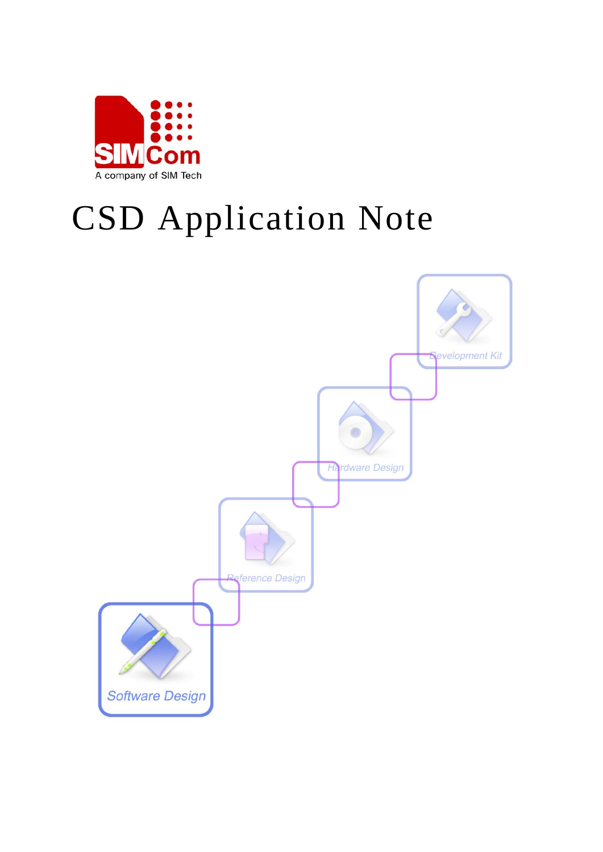

# CSD Application Note

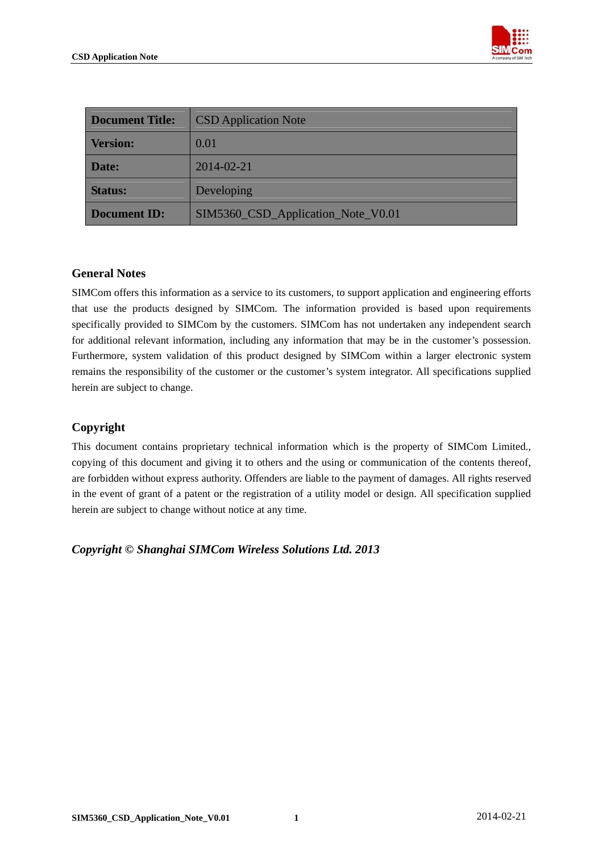

| <b>Document Title:</b> | <b>CSD</b> Application Note        |
|------------------------|------------------------------------|
| <b>Version:</b>        | 0.01                               |
| Date:                  | 2014-02-21                         |
| <b>Status:</b>         | Developing                         |
| <b>Document ID:</b>    | SIM5360_CSD_Application_Note_V0.01 |

#### **General Notes**

SIMCom offers this information as a service to its customers, to support application and engineering efforts that use the products designed by SIMCom. The information provided is based upon requirements specifically provided to SIMCom by the customers. SIMCom has not undertaken any independent search for additional relevant information, including any information that may be in the customer's possession. Furthermore, system validation of this product designed by SIMCom within a larger electronic system remains the responsibility of the customer or the customer's system integrator. All specifications supplied herein are subject to change.

#### **Copyright**

This document contains proprietary technical information which is the property of SIMCom Limited., copying of this document and giving it to others and the using or communication of the contents thereof, are forbidden without express authority. Offenders are liable to the payment of damages. All rights reserved in the event of grant of a patent or the registration of a utility model or design. All specification supplied herein are subject to change without notice at any time.

*Copyright © Shanghai SIMCom Wireless Solutions Ltd. 2013*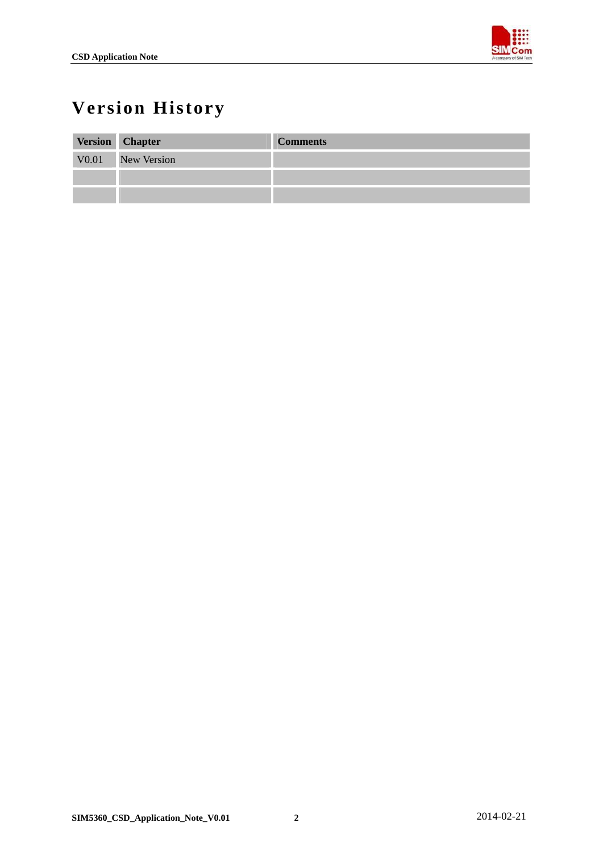

## <span id="page-2-0"></span>**Version History**

| Version Chapter   | <b>Comments</b> |
|-------------------|-----------------|
| V0.01 New Version |                 |
|                   |                 |
|                   |                 |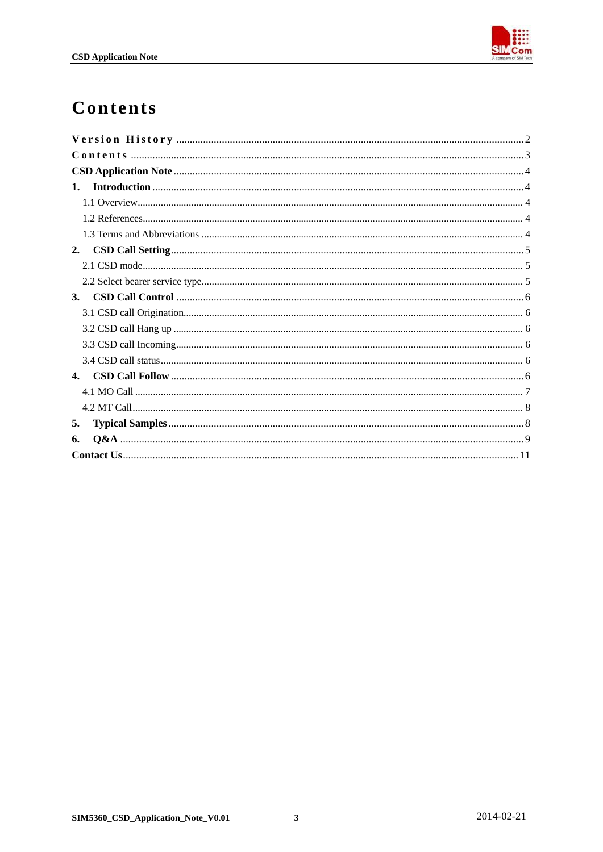

## <span id="page-3-0"></span>Contents

| 1.             |
|----------------|
|                |
|                |
|                |
| 2.             |
|                |
|                |
| <b>3.</b>      |
|                |
|                |
|                |
|                |
| $\mathbf{4}$ . |
|                |
|                |
| 5.             |
| 6.             |
|                |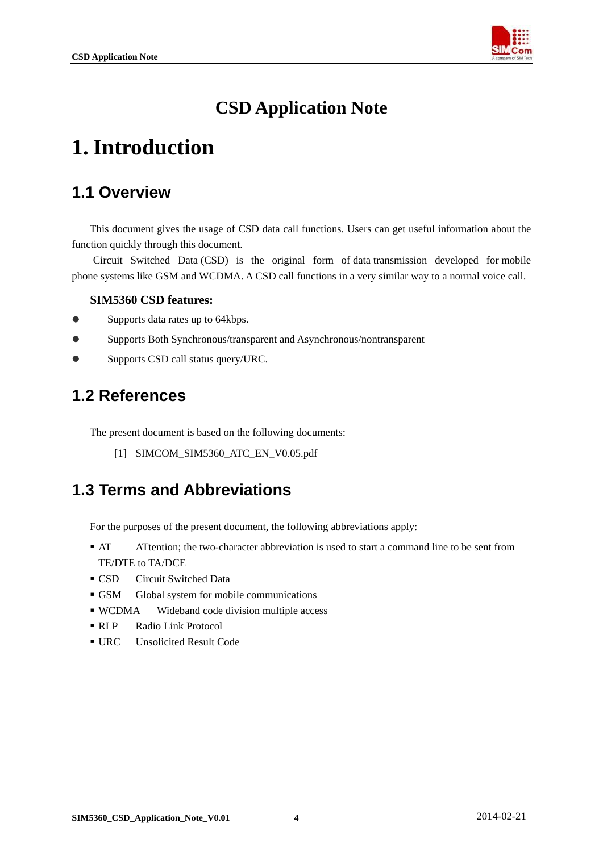

## **CSD Application Note**

## <span id="page-4-0"></span>**1. Introduction**

### **1.1 Overview**

This document gives the usage of CSD data call functions. Users can get useful information about the function quickly through this document.

Circuit Switched Data (CSD) is the original form of [data](http://en.wikipedia.org/wiki/Data) transmission developed for [mobile](http://en.wikipedia.org/wiki/Mobile_phone)  [phone](http://en.wikipedia.org/wiki/Mobile_phone) systems like GSM and WCDMA. A CSD call functions in a very similar way to a normal [voice call.](http://en.wikipedia.org/wiki/Voice_call)

#### **SIM5360 CSD features:**

- Supports data rates up to 64kbps.
- Supports Both Synchronous/transparent and Asynchronous/nontransparent
- **•** Supports CSD call status query/URC.

#### **1.2 References**

The present document is based on the following documents:

[1] SIMCOM\_SIM5360\_ATC\_EN\_V0.05.pdf

#### **1.3 Terms and Abbreviations**

For the purposes of the present document, the following abbreviations apply:

- AT ATtention; the two-character abbreviation is used to start a command line to be sent from TE/DTE to TA/DCE
- **CSD** Circuit Switched Data
- GSM Global system for mobile communications
- WCDMA Wideband code division multiple access
- RLP Radio Link Protocol
- URC Unsolicited Result Code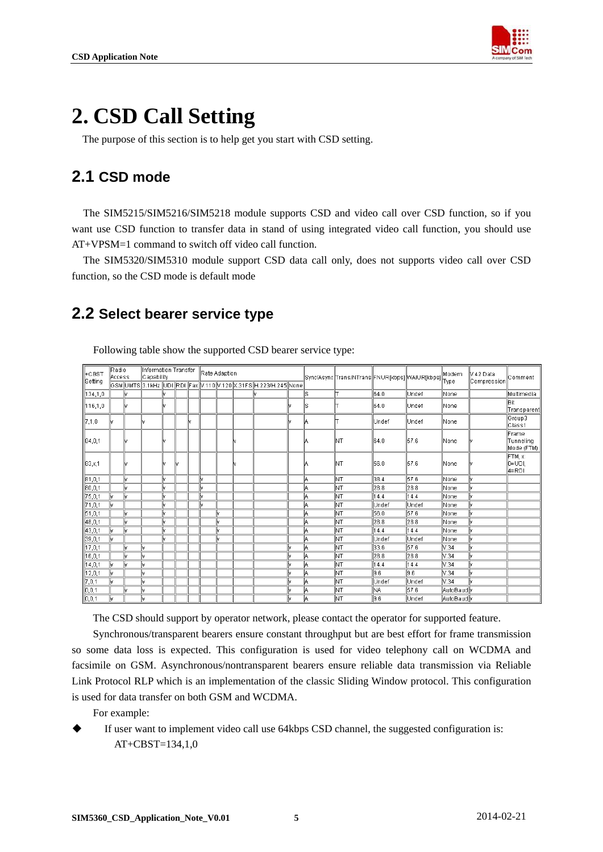

## <span id="page-5-0"></span>**2. CSD Call Setting**

The purpose of this section is to help get you start with CSD setting.

### **2.1 CSD mode**

The SIM5215/SIM5216/SIM5218 module supports CSD and video call over CSD function, so if you want use CSD function to transfer data in stand of using integrated video call function, you should use AT+VPSM=1 command to switch off video call function.

The SIM5320/SIM5310 module support CSD data call only, does not supports video call over CSD function, so the CSD mode is default mode

#### **2.2 Select bearer service type**

| ⊪cвsт<br>∥Setting | Radio<br>  Access |      | Information Transfer<br>Capability |  |  |  | Rate Adaption |     |  |                                                                   |  |    | Sync/Async Trans/NTrans FNUR[kbps] WAIUR[kbps] |       |       | Modem       | lV.42 Data  | Comment                          |
|-------------------|-------------------|------|------------------------------------|--|--|--|---------------|-----|--|-------------------------------------------------------------------|--|----|------------------------------------------------|-------|-------|-------------|-------------|----------------------------------|
|                   |                   |      |                                    |  |  |  |               |     |  | GSM UMTS 3.1 kHz UDI RDI Fax V.110 V.120 X.31 FS H.223/H.245 None |  |    |                                                |       |       | <b>Type</b> | Compression |                                  |
| 134,1,0           |                   |      |                                    |  |  |  |               |     |  |                                                                   |  | ls |                                                | 64.0  | Undef | None        |             | Multimedia                       |
| 116,1,0           |                   |      |                                    |  |  |  |               |     |  |                                                                   |  | ls |                                                | 64.0  | Undef | None        |             | <b>Bit</b><br>Transparent        |
| 7,1,0             |                   |      |                                    |  |  |  |               |     |  |                                                                   |  | IΑ |                                                | Undef | Undef | None        |             | Group3<br>lClass1                |
| 84,0,1            |                   |      |                                    |  |  |  |               |     |  |                                                                   |  | А  | INT                                            | 64.0  | 57.6  | None        |             | Frame<br>Tunneling<br>Mode (FTM) |
| 83,x,1            |                   |      |                                    |  |  |  |               |     |  |                                                                   |  | А  | lΝT                                            | 56.0  | 57.6  | None        |             | FTM, x:<br>lo=UDI.<br>4=RDI      |
| 81,0,1            |                   | hr.  |                                    |  |  |  | м             |     |  |                                                                   |  | A  | NΤ                                             | 38.4  | 57.6  | None        |             |                                  |
| 80,0,1            |                   | lM.  |                                    |  |  |  |               |     |  |                                                                   |  | A  | lΝT                                            | 28.8  | 28.8  | None        |             |                                  |
| 75,0,1            |                   | hr.  |                                    |  |  |  |               |     |  |                                                                   |  | A  | NΤ                                             | 14.4  | 14.4  | None        |             |                                  |
| 71,0,1            |                   |      |                                    |  |  |  |               |     |  |                                                                   |  | A  | lnt                                            | Undef | Undef | None        |             |                                  |
| 51,0,1            |                   | M    |                                    |  |  |  |               | M   |  |                                                                   |  | A  | NΤ                                             | 56.0  | 57.6  | None        |             |                                  |
| 48,0,1            |                   | M    |                                    |  |  |  |               | M   |  |                                                                   |  | A  | lnt                                            | 28.8  | 28.8  | None        |             |                                  |
| 43,0,1            |                   | lkr. |                                    |  |  |  |               | hr. |  |                                                                   |  | A  | NΤ                                             | 14.4  | 14.4  | None        |             |                                  |
| 39,0,1            |                   |      |                                    |  |  |  |               | hr  |  |                                                                   |  | A  | lnt                                            | Undef | Undef | None        |             |                                  |
| 17,0,1            |                   | h.   |                                    |  |  |  |               |     |  |                                                                   |  | A  | NΤ                                             | 33.6  | 57.6  | V.34        |             |                                  |
| 16,0,1            |                   | M    |                                    |  |  |  |               |     |  |                                                                   |  | A  | lnt                                            | 28.8  | 28.8  | N.34        |             |                                  |
| 14,0,1            |                   | M    |                                    |  |  |  |               |     |  |                                                                   |  | A  | NΤ                                             | 14.4  | 14.4  | V.34        |             |                                  |
| 12,0,1            |                   |      |                                    |  |  |  |               |     |  |                                                                   |  | A  | ļΝT                                            | 9.6   | 9.6   | V.34        |             |                                  |
| 7,0,1             |                   |      |                                    |  |  |  |               |     |  |                                                                   |  | ΙA | NΤ                                             | Undef | Undef | V.34        |             |                                  |
| 0,0,1             |                   | M    |                                    |  |  |  |               |     |  |                                                                   |  | ΙA | lnt                                            | NA    | 57.6  | lAutoBaudl∖ |             |                                  |
| $\boxed{0,0,1}$   |                   |      |                                    |  |  |  |               |     |  |                                                                   |  | ۱A | NΤ                                             | 9.6   | Undef | AutoBaudly  |             |                                  |

Following table show the supported CSD bearer service type:

The CSD should support by operator network, please contact the operator for supported feature.

Synchronous/transparent bearers ensure constant throughput but are best effort for frame transmission so some data loss is expected. This configuration is used for video telephony call on WCDMA and facsimile on GSM. Asynchronous/nontransparent bearers ensure reliable data transmission via Reliable Link Protocol RLP which is an implementation of the classic Sliding Window protocol. This configuration is used for data transfer on both GSM and WCDMA.

For example:

 If user want to implement video call use 64kbps CSD channel, the suggested configuration is: AT+CBST=134,1,0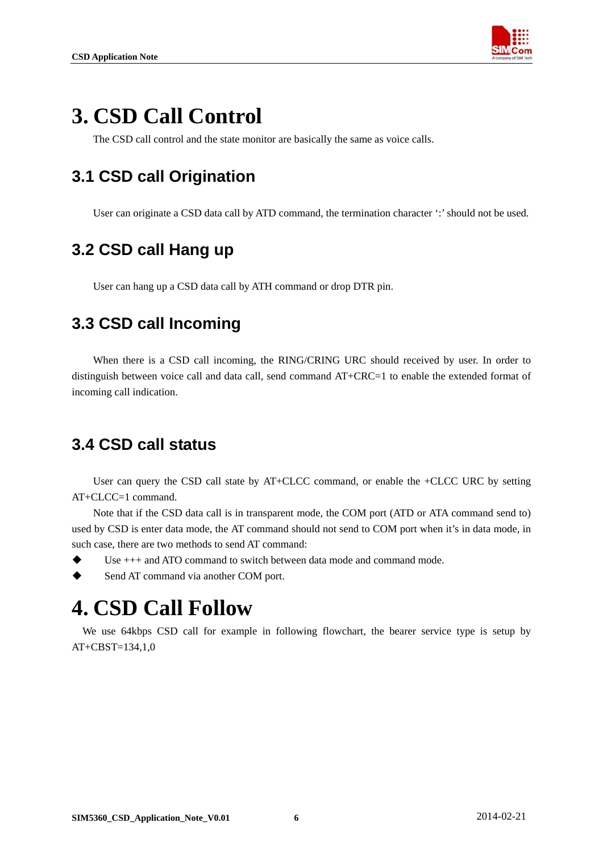

## <span id="page-6-0"></span>**3. CSD Call Control**

The CSD call control and the state monitor are basically the same as voice calls.

### **3.1 CSD call Origination**

User can originate a CSD data call by ATD command, the termination character ':' should not be used.

### **3.2 CSD call Hang up**

User can hang up a CSD data call by ATH command or drop DTR pin.

### **3.3 CSD call Incoming**

When there is a CSD call incoming, the RING/CRING URC should received by user. In order to distinguish between voice call and data call, send command AT+CRC=1 to enable the extended format of incoming call indication.

### **3.4 CSD call status**

User can query the CSD call state by AT+CLCC command, or enable the +CLCC URC by setting AT+CLCC=1 command.

Note that if the CSD data call is in transparent mode, the COM port (ATD or ATA command send to) used by CSD is enter data mode, the AT command should not send to COM port when it's in data mode, in such case, there are two methods to send AT command:

- Use +++ and ATO command to switch between data mode and command mode.
- Send AT command via another COM port.

## **4. CSD Call Follow**

We use 64kbps CSD call for example in following flowchart, the bearer service type is setup by AT+CBST=134,1,0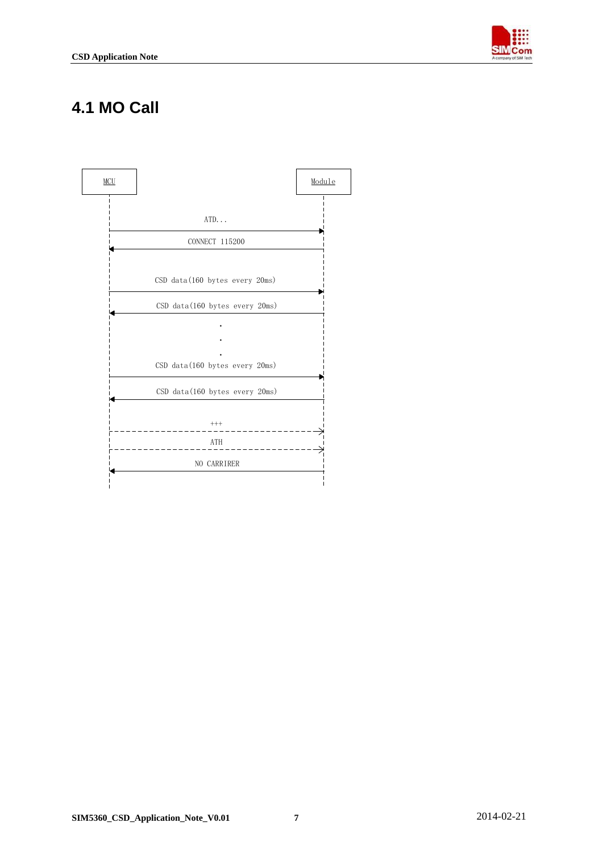

### <span id="page-7-0"></span>**4.1 MO Call**

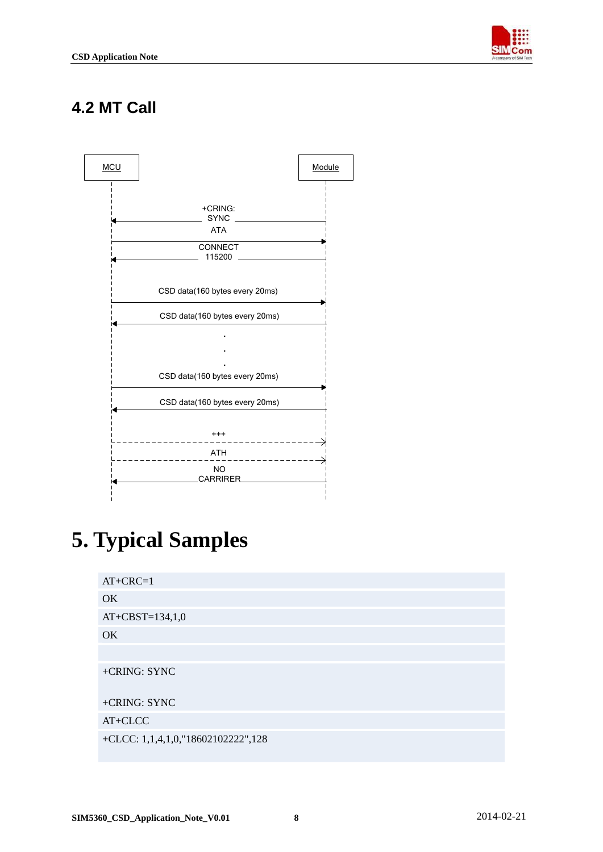

### <span id="page-8-0"></span>**4.2 MT Call**



## **5. Typical Samples**

| $AT+CRC=1$                         |
|------------------------------------|
| OK                                 |
| $AT+CBST=134,1,0$                  |
| OK                                 |
|                                    |
| +CRING: SYNC                       |
| +CRING: SYNC                       |
| AT+CLCC                            |
| +CLCC: 1,1,4,1,0,"18602102222",128 |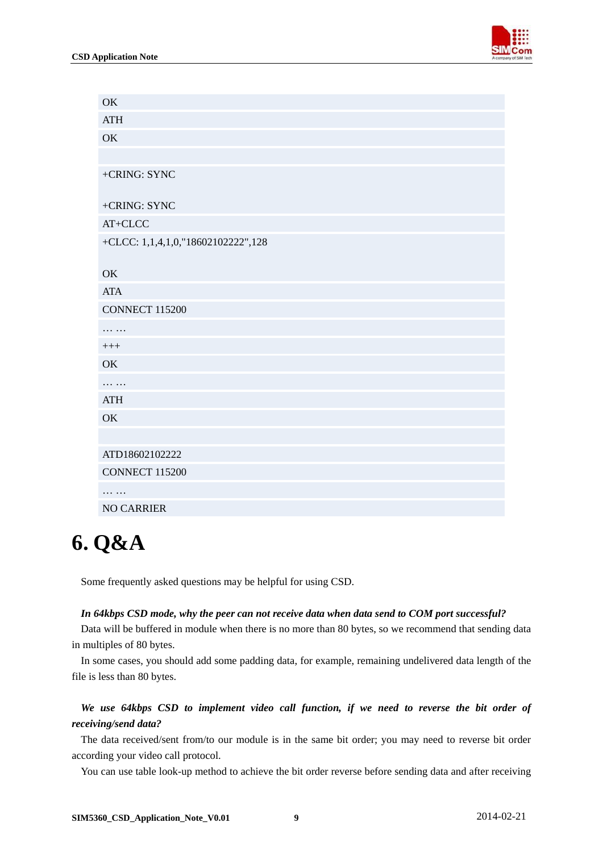<span id="page-9-0"></span>

| OK                                 |
|------------------------------------|
| <b>ATH</b>                         |
| OK                                 |
|                                    |
| +CRING: SYNC                       |
| +CRING: SYNC                       |
| AT+CLCC                            |
| +CLCC: 1,1,4,1,0,"18602102222",128 |
| OK                                 |
| <b>ATA</b>                         |
| <b>CONNECT 115200</b>              |
| .                                  |
| $+++$                              |
| OK                                 |
| .                                  |
| <b>ATH</b>                         |
| OK                                 |
|                                    |
| ATD18602102222                     |
| <b>CONNECT 115200</b>              |
| .                                  |
| <b>NO CARRIER</b>                  |

## **6. Q&A**

Some frequently asked questions may be helpful for using CSD.

#### *In 64kbps CSD mode, why the peer can not receive data when data send to COM port successful?*

Data will be buffered in module when there is no more than 80 bytes, so we recommend that sending data in multiples of 80 bytes.

In some cases, you should add some padding data, for example, remaining undelivered data length of the file is less than 80 bytes.

#### *We use 64kbps CSD to implement video call function, if we need to reverse the bit order of receiving/send data?*

The data received/sent from/to our module is in the same bit order; you may need to reverse bit order according your video call protocol.

You can use table look-up method to achieve the bit order reverse before sending data and after receiving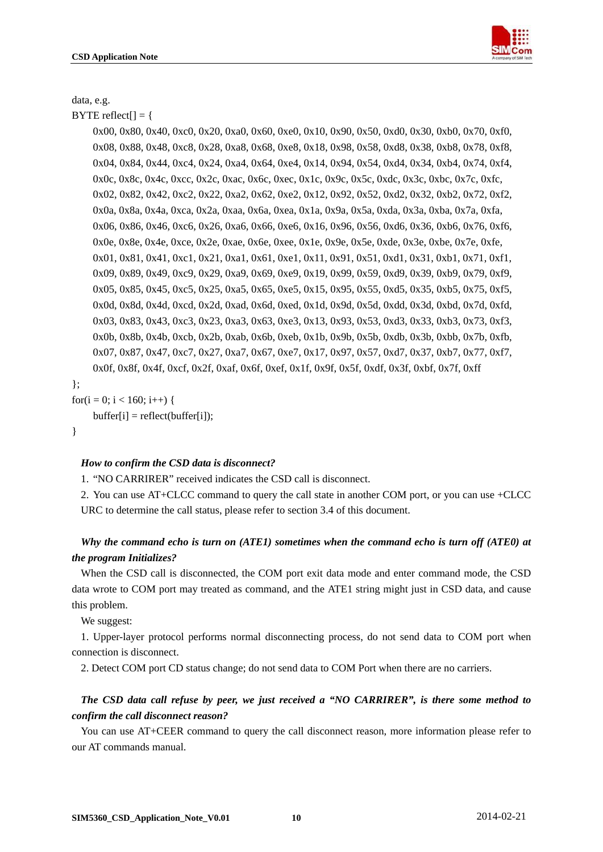

data, e.g.

 $BYTE$  reflect $[] = \{$ 

 0x00, 0x80, 0x40, 0xc0, 0x20, 0xa0, 0x60, 0xe0, 0x10, 0x90, 0x50, 0xd0, 0x30, 0xb0, 0x70, 0xf0, 0x08, 0x88, 0x48, 0xc8, 0x28, 0xa8, 0x68, 0xe8, 0x18, 0x98, 0x58, 0xd8, 0x38, 0xb8, 0x78, 0xf8, 0x04, 0x84, 0x44, 0xc4, 0x24, 0xa4, 0x64, 0xe4, 0x14, 0x94, 0x54, 0xd4, 0x34, 0xb4, 0x74, 0xf4, 0x0c, 0x8c, 0x4c, 0xcc, 0x2c, 0xac, 0x6c, 0xec, 0x1c, 0x9c, 0x5c, 0xdc, 0x3c, 0xbc, 0x7c, 0xfc, 0x02, 0x82, 0x42, 0xc2, 0x22, 0xa2, 0x62, 0xe2, 0x12, 0x92, 0x52, 0xd2, 0x32, 0xb2, 0x72, 0xf2, 0x0a, 0x8a, 0x4a, 0xca, 0x2a, 0xaa, 0x6a, 0xea, 0x1a, 0x9a, 0x5a, 0xda, 0x3a, 0xba, 0x7a, 0xfa, 0x06, 0x86, 0x46, 0xc6, 0x26, 0xa6, 0x66, 0xe6, 0x16, 0x96, 0x56, 0xd6, 0x36, 0xb6, 0x76, 0xf6, 0x0e, 0x8e, 0x4e, 0xce, 0x2e, 0xae, 0x6e, 0xee, 0x1e, 0x9e, 0x5e, 0xde, 0x3e, 0xbe, 0x7e, 0xfe, 0x01, 0x81, 0x41, 0xc1, 0x21, 0xa1, 0x61, 0xe1, 0x11, 0x91, 0x51, 0xd1, 0x31, 0xb1, 0x71, 0xf1, 0x09, 0x89, 0x49, 0xc9, 0x29, 0xa9, 0x69, 0xe9, 0x19, 0x99, 0x59, 0xd9, 0x39, 0xb9, 0x79, 0xf9, 0x05, 0x85, 0x45, 0xc5, 0x25, 0xa5, 0x65, 0xe5, 0x15, 0x95, 0x55, 0xd5, 0x35, 0xb5, 0x75, 0xf5, 0x0d, 0x8d, 0x4d, 0xcd, 0x2d, 0xad, 0x6d, 0xed, 0x1d, 0x9d, 0x5d, 0xdd, 0x3d, 0xbd, 0x7d, 0xfd, 0x03, 0x83, 0x43, 0xc3, 0x23, 0xa3, 0x63, 0xe3, 0x13, 0x93, 0x53, 0xd3, 0x33, 0xb3, 0x73, 0xf3, 0x0b, 0x8b, 0x4b, 0xcb, 0x2b, 0xab, 0x6b, 0xeb, 0x1b, 0x9b, 0x5b, 0xdb, 0x3b, 0xbb, 0x7b, 0xfb, 0x07, 0x87, 0x47, 0xc7, 0x27, 0xa7, 0x67, 0xe7, 0x17, 0x97, 0x57, 0xd7, 0x37, 0xb7, 0x77, 0xf7, 0x0f, 0x8f, 0x4f, 0xcf, 0x2f, 0xaf, 0x6f, 0xef, 0x1f, 0x9f, 0x5f, 0xdf, 0x3f, 0xbf, 0x7f, 0xff

};

for(i = 0; i < 160; i++) {  $buffer[i] = reflect(buffer[i]);$ 

}

#### *How to confirm the CSD data is disconnect?*

1. "NO CARRIRER" received indicates the CSD call is disconnect.

2. You can use AT+CLCC command to query the call state in another COM port, or you can use +CLCC URC to determine the call status, please refer to section 3.4 of this document.

#### *Why the command echo is turn on (ATE1) sometimes when the command echo is turn off (ATE0) at the program Initializes?*

When the CSD call is disconnected, the COM port exit data mode and enter command mode, the CSD data wrote to COM port may treated as command, and the ATE1 string might just in CSD data, and cause this problem.

We suggest:

1. Upper-layer protocol performs normal disconnecting process, do not send data to COM port when connection is disconnect.

2. Detect COM port CD status change; do not send data to COM Port when there are no carriers.

#### *The CSD data call refuse by peer, we just received a "NO CARRIRER", is there some method to confirm the call disconnect reason?*

You can use AT+CEER command to query the call disconnect reason, more information please refer to our AT commands manual.